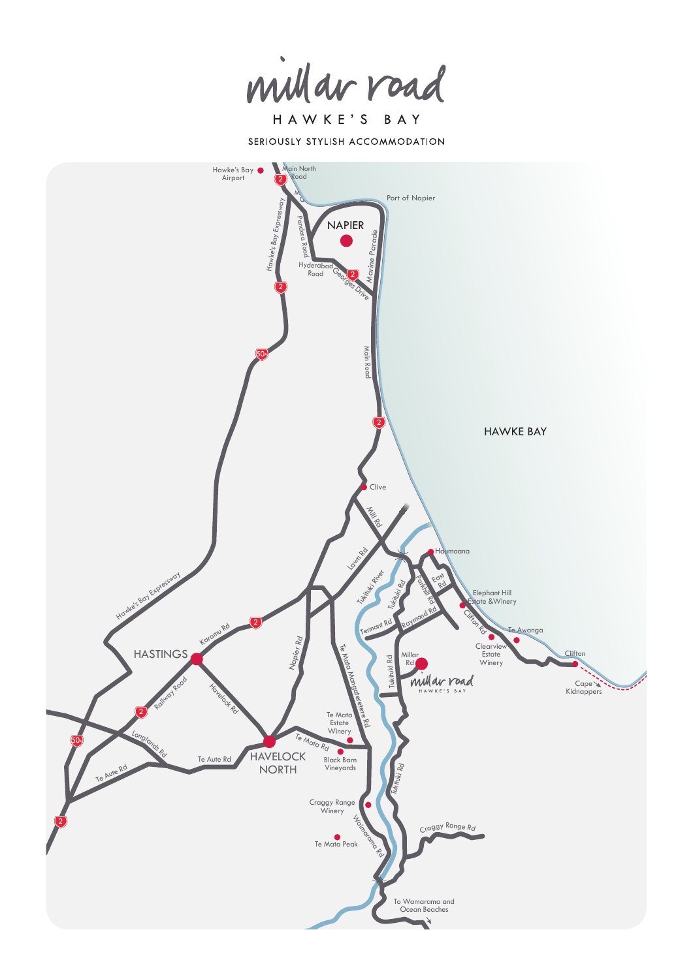millar road

HAWKE'S BAY SERIOUSLY STYLISH ACCOMMODATION